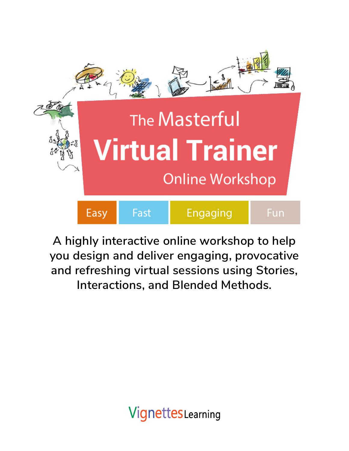

**A highly interactive online workshop to help you design and deliver engaging, provocative and refreshing virtual sessions using Stories, Interactions, and Blended Methods.**

**VignettesLearning**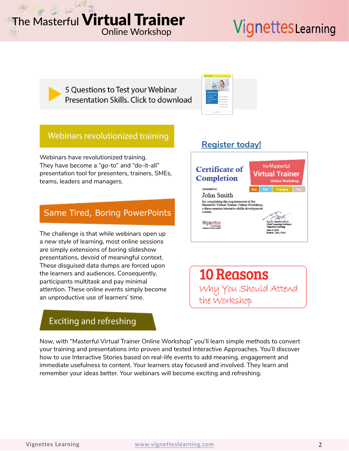# VignettesLearning

5 Questions to Test your Webinar Presentation Skills. Click to download



## Webinars revolutionized training

Webinars have revolutionized training. They have become a "go-to" and "do-it-all" presentation tool for presenters, trainers, SMEs, teams, leaders and managers.

### Same Tired, Boring PowerPoints

The challenge is that while webinars open up a new style of learning, most online sessions are simply extensions of boring slideshow presentations, devoid of meaningful context. These disguised data dumps are forced upon the learners and audiences. Consequently, participants multitask and pay minimal attention. These online events simply become an unproductive use of learners' time.

## **Exciting and refreshing**

#### Now, with "Masterful Virtual Trainer Online Workshop" you'll learn simple methods to convert your training and presentations into proven and tested Interactive Approaches. You'll discover how to use Interactive Stories based on real-life events to add meaning, engagement and immediate usefulness to content. Your learners stay focused and involved. They learn and remember your ideas better. Your webinars will become exciting and refreshing.

## **[Register today!](https://vignetteslearning.com/vignettes/masterful-virtual-trainer-onlineworkshop.php#dates)**



**10 Reasons** Why You Should Attend the Workshop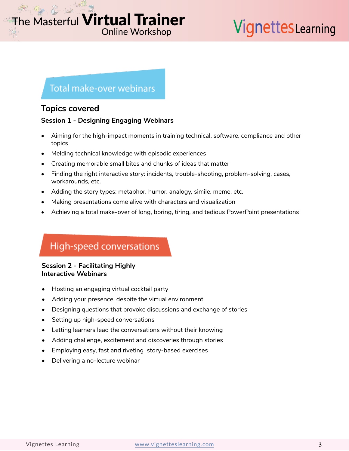# VignettesLearning

## **Total make-over webinars**

### **Topics covered**

### **Session 1 - Designing Engaging Webinars**

- Aiming for the high-impact moments in training technical, software, compliance and other topics
- Melding technical knowledge with episodic experiences
- Creating memorable small bites and chunks of ideas that matter
- Finding the right interactive story: incidents, trouble-shooting, problem-solving, cases, workarounds, etc.
- Adding the story types: metaphor, humor, analogy, simile, meme, etc.
- Making presentations come alive with characters and visualization
- Achieving a total make-over of long, boring, tiring, and tedious PowerPoint presentations

## High-speed conversations

### **Session 2 - Facilitating Highly Interactive Webinars**

- Hosting an engaging virtual cocktail party
- Adding your presence, despite the virtual environment
- Designing questions that provoke discussions and exchange of stories
- Setting up high-speed conversations
- Letting learners lead the conversations without their knowing
- Adding challenge, excitement and discoveries through stories
- Employing easy, fast and riveting story-based exercises
- Delivering a no-lecture webinar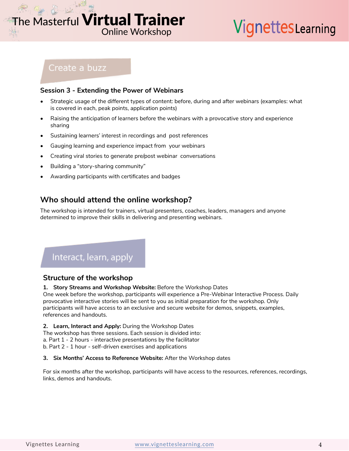# VignettesLearning

### Create a buzz

### **Session 3 - Extending the Power of Webinars**

- Strategic usage of the different types of content: before, during and after webinars (examples: what is covered in each, peak points, application points)
- Raising the anticipation of learners before the webinars with a provocative story and experience sharing
- Sustaining learners' interest in recordings and post references
- Gauging learning and experience impact from your webinars
- Creating viral stories to generate pre/post webinar conversations
- Building a "story-sharing community"
- Awarding participants with certificates and badges

### **Who should attend the online workshop?**

The workshop is intended for trainers, virtual presenters, coaches, leaders, managers and anyone determined to improve their skills in delivering and presenting webinars.

## Interact, learn, apply

### **Structure of the workshop**

#### **1. Story Streams and Workshop Website:** Before the Workshop Dates

One week before the workshop, participants will experience a Pre-Webinar Interactive Process. Daily provocative interactive stories will be sent to you as initial preparation for the workshop. Only participants will have access to an exclusive and secure website for demos, snippets, examples, references and handouts.

**2. Learn, Interact and Apply:** During the Workshop Dates

The workshop has three sessions. Each session is divided into:

a. Part 1 - 2 hours - interactive presentations by the facilitator

b. Part 2 - 1 hour - self-driven exercises and applications

#### **3. Six Months' Access to Reference Website:** After the Workshop dates

For six months after the workshop, participants will have access to the resources, references, recordings, links, demos and handouts.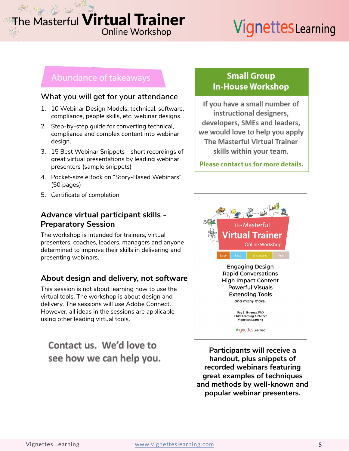# VignettesLearning

### Abundance of takeaways

### **What you will get for your attendance**

- 1. 10 Webinar Design Models: technical, software, compliance, people skills, etc. webinar designs
- 2. Step-by-step guide for converting technical, compliance and complex content into webinar design.
- 3. 15 Best Webinar Snippets short recordings of great virtual presentations by leading webinar presenters (sample snippets)
- 4. Pocket-size eBook on "Story-Based Webinars" (50 pages)
- 5. Certificate of completion

### **Advance virtual participant skills - Preparatory Session**

The workshop is intended for trainers, virtual presenters, coaches, leaders, managers and anyone determined to improve their skills in delivering and presenting webinars.

### **About design and delivery, not software**

This session is not about learning how to use the virtual tools. The workshop is about design and delivery. The sessions will use Adobe Connect. However, all ideas in the sessions are applicable using other leading virtual tools.

## Contact us. We'd love to see how we can help you.

### **Small Group In-House Workshop**

If you have a small number of instructional designers, developers, SMEs and leaders, we would love to help you apply **The Masterful Virtual Trainer** skills within your team.

Please contact us for more details.



**Participants will receive a handout, plus snippets of recorded webinars featuring great examples of techniques and methods by well-known and popular webinar presenters.**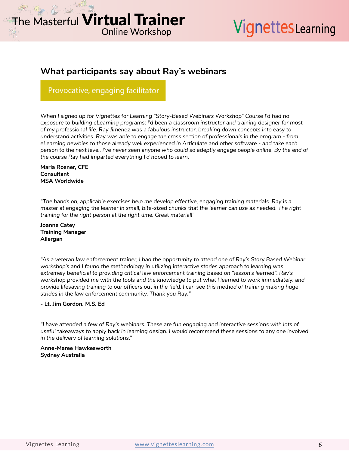# VignettesLearning

### **What participants say about Ray's webinars**

### Provocative, engaging facilitator

*When I signed up for Vignettes for Learning "Story-Based Webinars Workshop" Course I'd had no exposure to building eLearning programs; I'd been a classroom instructor and training designer for most of my professional life. Ray Jimenez was a fabulous instructor, breaking down concepts into easy to understand activities. Ray was able to engage the cross section of professionals in the program - from eLearning newbies to those already well experienced in Articulate and other software - and take each person to the next level. I've never seen anyone who could so adeptly engage people online. By the end of the course Ray had imparted everything I'd hoped to learn.*

**Marla Rosner, CFE Consultant MSA Worldwide**

*"The hands on, applicable exercises help me develop effective, engaging training materials. Ray is a master at engaging the learner in small, bite-sized chunks that the learner can use as needed. The right training for the right person at the right time. Great material!"*

**Joanne Catey Training Manager Allergan**

*"As a veteran law enforcement trainer, I had the opportunity to attend one of Ray's Story Based Webinar workshop's and I found the methodology in utilizing interactive stories approach to learning was extremely beneficial to providing critical law enforcement training based on "lesson's learned". Ray's workshop provided me with the tools and the knowledge to put what I learned to work immediately, and provide lifesaving training to our officers out in the field. I can see this method of training making huge strides in the law enforcement community. Thank you Ray!"*

#### **- Lt. Jim Gordon, M.S. Ed**

*"I have attended a few of Ray's webinars. These are fun engaging and interactive sessions with lots of useful takeaways to apply back in learning design. I would recommend these sessions to any one involved in the delivery of learning solutions."*

#### **Anne-Maree Hawkesworth Sydney Australia**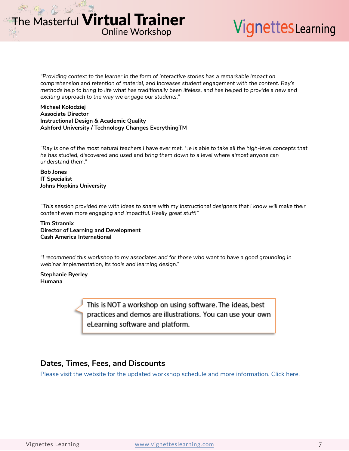# VignettesLearning

*"Providing context to the learner in the form of interactive stories has a remarkable impact on comprehension and retention of material, and increases student engagement with the content. Ray's methods help to bring to life what has traditionally been lifeless, and has helped to provide a new and exciting approach to the way we engage our students."*

#### **Michael Kolodziej Associate Director Instructional Design & Academic Quality Ashford University / Technology Changes EverythingTM**

*"Ray is one of the most natural teachers I have ever met. He is able to take all the high-level concepts that he has studied, discovered and used and bring them down to a level where almost anyone can understand them."*

#### **Bob Jones IT Specialist Johns Hopkins University**

*"This session provided me with ideas to share with my instructional designers that I know will make their content even more engaging and impactful. Really great stuff!"*

**Tim Strannix Director of Learning and Development Cash America International**

*"I recommend this workshop to my associates and for those who want to have a good grounding in webinar implementation, its tools and learning design."*

**Stephanie Byerley Humana**

> This is NOT a workshop on using software. The ideas, best practices and demos are illustrations. You can use your own eLearning software and platform.

### **Dates, Times, Fees, and Discounts**

[Please visit the website for the updated workshop schedule and more information. Click here.](https://vignetteslearning.com/vignettes/masterful-virtual-trainer-onlineworkshop.php)